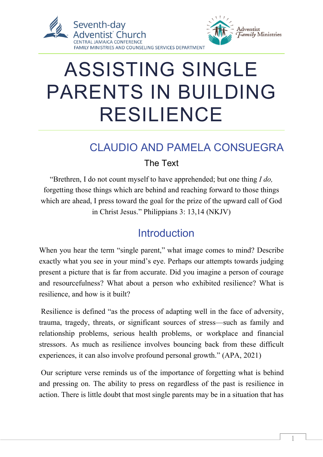

# ASSISTING SINGLE PARENTS IN BUILDING RESILIENCE

## CLAUDIO AND PAMELA CONSUEGRA The Text

"Brethren, I do not count myself to have apprehended; but one thing *I do,*  forgetting those things which are behind and reaching forward to those things which are ahead, I press toward the goal for the prize of the upward call of God in Christ Jesus." Philippians 3: 13,14 (NKJV)

## **Introduction**

When you hear the term "single parent," what image comes to mind? Describe exactly what you see in your mind's eye. Perhaps our attempts towards judging present a picture that is far from accurate. Did you imagine a person of courage and resourcefulness? What about a person who exhibited resilience? What is resilience, and how is it built?

Resilience is defined "as the process of adapting well in the face of adversity, trauma, tragedy, threats, or significant sources of stress—such as family and relationship problems, serious health problems, or workplace and financial stressors. As much as resilience involves bouncing back from these difficult experiences, it can also involve profound personal growth." (APA, 2021)

Our scripture verse reminds us of the importance of forgetting what is behind and pressing on. The ability to press on regardless of the past is resilience in action. There is little doubt that most single parents may be in a situation that has

 $\overline{a}$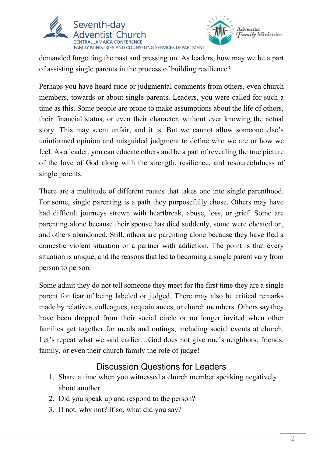



demanded forgetting the past and pressing on. As leaders, how may we be a part of assisting single parents in the process of building resilience?

Perhaps you have heard rude or judgmental comments from others, even church members, towards or about single parents. Leaders, you were called for such a time as this. Some people are prone to make assumptions about the life of others, their financial status, or even their character, without ever knowing the actual story. This may seem unfair, and it is. But we cannot allow someone else's uninformed opinion and misguided judgment to define who we are or how we feel. As a leader, you can educate others and be a part of revealing the true picture of the love of God along with the strength, resilience, and resourcefulness of single parents.

There are a multitude of different routes that takes one into single parenthood. For some, single parenting is a path they purposefully chose. Others may have had difficult journeys strewn with heartbreak, abuse, loss, or grief. Some are parenting alone because their spouse has died suddenly, some were cheated on, and others abandoned. Still, others are parenting alone because they have fled a domestic violent situation or a partner with addiction. The point is that every situation is unique, and the reasons that led to becoming a single parent vary from person to person.

Some admit they do not tell someone they meet for the first time they are a single parent for fear of being labeled or judged. There may also be critical remarks made by relatives, colleagues, acquaintances, or church members. Others say they have been dropped from their social circle or no longer invited when other families get together for meals and outings, including social events at church. Let's repeat what we said earlier...God does not give one's neighbors, friends, family, or even their church family the role of judge!

#### Discussion Questions for Leaders

- 1. Share a time when you witnessed a church member speaking negatively about another.
- 2. Did you speak up and respond to the person?
- 3. If not, why not? If so, what did you say?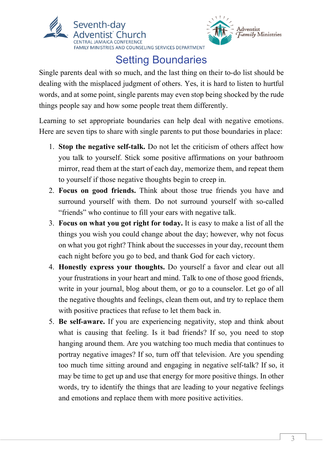



## Setting Boundaries

Single parents deal with so much, and the last thing on their to-do list should be dealing with the misplaced judgment of others. Yes, it is hard to listen to hurtful words, and at some point, single parents may even stop being shocked by the rude things people say and how some people treat them differently.

Learning to set appropriate boundaries can help deal with negative emotions. Here are seven tips to share with single parents to put those boundaries in place:

- 1. **Stop the negative self-talk.** Do not let the criticism of others affect how you talk to yourself. Stick some positive affirmations on your bathroom mirror, read them at the start of each day, memorize them, and repeat them to yourself if those negative thoughts begin to creep in.
- 2. **Focus on good friends.** Think about those true friends you have and surround yourself with them. Do not surround yourself with so-called "friends" who continue to fill your ears with negative talk.
- 3. **Focus on what you got right for today.** It is easy to make a list of all the things you wish you could change about the day; however, why not focus on what you got right? Think about the successes in your day, recount them each night before you go to bed, and thank God for each victory.
- 4. **Honestly express your thoughts.** Do yourself a favor and clear out all your frustrations in your heart and mind. Talk to one of those good friends, write in your journal, blog about them, or go to a counselor. Let go of all the negative thoughts and feelings, clean them out, and try to replace them with positive practices that refuse to let them back in.
- 5. **Be self-aware.** If you are experiencing negativity, stop and think about what is causing that feeling. Is it bad friends? If so, you need to stop hanging around them. Are you watching too much media that continues to portray negative images? If so, turn off that television. Are you spending too much time sitting around and engaging in negative self-talk? If so, it may be time to get up and use that energy for more positive things. In other words, try to identify the things that are leading to your negative feelings and emotions and replace them with more positive activities.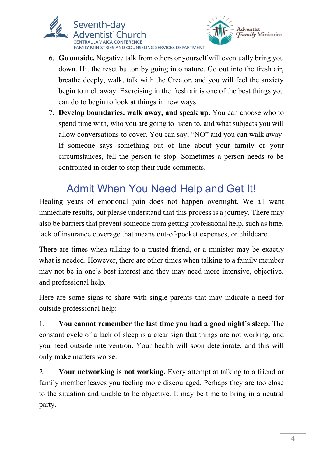



- 6. **Go outside.** Negative talk from others or yourself will eventually bring you down. Hit the reset button by going into nature. Go out into the fresh air, breathe deeply, walk, talk with the Creator, and you will feel the anxiety begin to melt away. Exercising in the fresh air is one of the best things you can do to begin to look at things in new ways.
- 7. **Develop boundaries, walk away, and speak up.** You can choose who to spend time with, who you are going to listen to, and what subjects you will allow conversations to cover. You can say, "NO" and you can walk away. If someone says something out of line about your family or your circumstances, tell the person to stop. Sometimes a person needs to be confronted in order to stop their rude comments.

## Admit When You Need Help and Get It!

Healing years of emotional pain does not happen overnight. We all want immediate results, but please understand that this process is a journey. There may also be barriers that prevent someone from getting professional help, such as time, lack of insurance coverage that means out-of-pocket expenses, or childcare.

There are times when talking to a trusted friend, or a minister may be exactly what is needed. However, there are other times when talking to a family member may not be in one's best interest and they may need more intensive, objective, and professional help.

Here are some signs to share with single parents that may indicate a need for outside professional help:

1. **You cannot remember the last time you had a good night's sleep.** The constant cycle of a lack of sleep is a clear sign that things are not working, and you need outside intervention. Your health will soon deteriorate, and this will only make matters worse.

2. **Your networking is not working.** Every attempt at talking to a friend or family member leaves you feeling more discouraged. Perhaps they are too close to the situation and unable to be objective. It may be time to bring in a neutral party.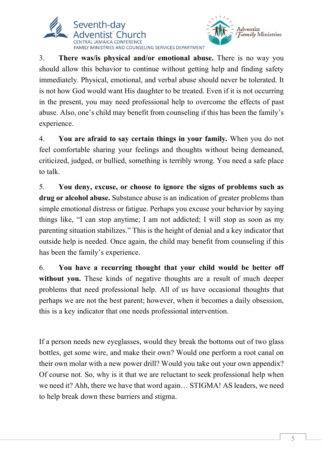



3. **There was/is physical and/or emotional abuse.** There is no way you should allow this behavior to continue without getting help and finding safety immediately. Physical, emotional, and verbal abuse should never be tolerated. It is not how God would want His daughter to be treated. Even if it is not occurring in the present, you may need professional help to overcome the effects of past abuse. Also, one's child may benefit from counseling if this has been the family's experience.

4. **You are afraid to say certain things in your family.** When you do not feel comfortable sharing your feelings and thoughts without being demeaned, criticized, judged, or bullied, something is terribly wrong. You need a safe place to talk.

5. **You deny, excuse, or choose to ignore the signs of problems such as drug or alcohol abuse.** Substance abuse is an indication of greater problems than simple emotional distress or fatigue. Perhaps you excuse your behavior by saying things like, "I can stop anytime; I am not addicted; I will stop as soon as my parenting situation stabilizes." This is the height of denial and a key indicator that outside help is needed. Once again, the child may benefit from counseling if this has been the family's experience.

6. **You have a recurring thought that your child would be better off**  without you. These kinds of negative thoughts are a result of much deeper problems that need professional help. All of us have occasional thoughts that perhaps we are not the best parent; however, when it becomes a daily obsession, this is a key indicator that one needs professional intervention.

If a person needs new eyeglasses, would they break the bottoms out of two glass bottles, get some wire, and make their own? Would one perform a root canal on their own molar with a new power drill? Would you take out your own appendix? Of course not. So, why is it that we are reluctant to seek professional help when we need it? Ahh, there we have that word again… STIGMA! AS leaders, we need to help break down these barriers and stigma.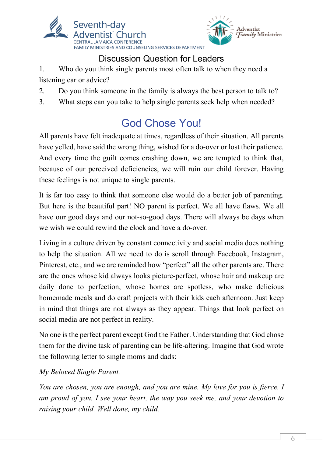



### Discussion Question for Leaders

1. Who do you think single parents most often talk to when they need a listening ear or advice?

- 2. Do you think someone in the family is always the best person to talk to?
- 3. What steps can you take to help single parents seek help when needed?

## God Chose You!

All parents have felt inadequate at times, regardless of their situation. All parents have yelled, have said the wrong thing, wished for a do-over or lost their patience. And every time the guilt comes crashing down, we are tempted to think that, because of our perceived deficiencies, we will ruin our child forever. Having these feelings is not unique to single parents.

It is far too easy to think that someone else would do a better job of parenting. But here is the beautiful part! NO parent is perfect. We all have flaws. We all have our good days and our not-so-good days. There will always be days when we wish we could rewind the clock and have a do-over.

Living in a culture driven by constant connectivity and social media does nothing to help the situation. All we need to do is scroll through Facebook, Instagram, Pinterest, etc., and we are reminded how "perfect" all the other parents are. There are the ones whose kid always looks picture-perfect, whose hair and makeup are daily done to perfection, whose homes are spotless, who make delicious homemade meals and do craft projects with their kids each afternoon. Just keep in mind that things are not always as they appear. Things that look perfect on social media are not perfect in reality.

No one is the perfect parent except God the Father. Understanding that God chose them for the divine task of parenting can be life-altering. Imagine that God wrote the following letter to single moms and dads:

#### *My Beloved Single Parent,*

*You are chosen, you are enough, and you are mine. My love for you is fierce. I am proud of you. I see your heart, the way you seek me, and your devotion to raising your child. Well done, my child.*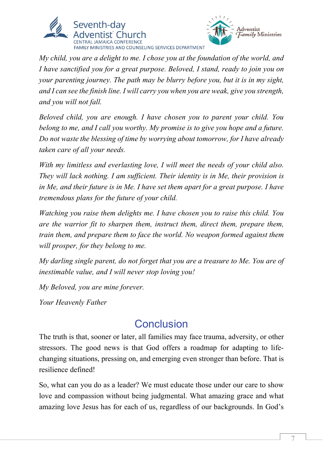



*My child, you are a delight to me. I chose you at the foundation of the world, and I have sanctified you for a great purpose. Beloved, I stand, ready to join you on your parenting journey. The path may be blurry before you, but it is in my sight, and I can see the finish line. I will carry you when you are weak, give you strength, and you will not fall.* 

*Beloved child, you are enough. I have chosen you to parent your child. You belong to me, and I call you worthy. My promise is to give you hope and a future. Do not waste the blessing of time by worrying about tomorrow, for I have already taken care of all your needs.* 

*With my limitless and everlasting love, I will meet the needs of your child also. They will lack nothing. I am sufficient. Their identity is in Me, their provision is in Me, and their future is in Me. I have set them apart for a great purpose. I have tremendous plans for the future of your child.* 

*Watching you raise them delights me. I have chosen you to raise this child. You are the warrior fit to sharpen them, instruct them, direct them, prepare them, train them, and prepare them to face the world. No weapon formed against them will prosper, for they belong to me.* 

*My darling single parent, do not forget that you are a treasure to Me. You are of inestimable value, and I will never stop loving you!* 

*My Beloved, you are mine forever.* 

*Your Heavenly Father*

## Conclusion

The truth is that, sooner or later, all families may face trauma, adversity, or other stressors. The good news is that God offers a roadmap for adapting to lifechanging situations, pressing on, and emerging even stronger than before. That is resilience defined!

So, what can you do as a leader? We must educate those under our care to show love and compassion without being judgmental. What amazing grace and what amazing love Jesus has for each of us, regardless of our backgrounds. In God's